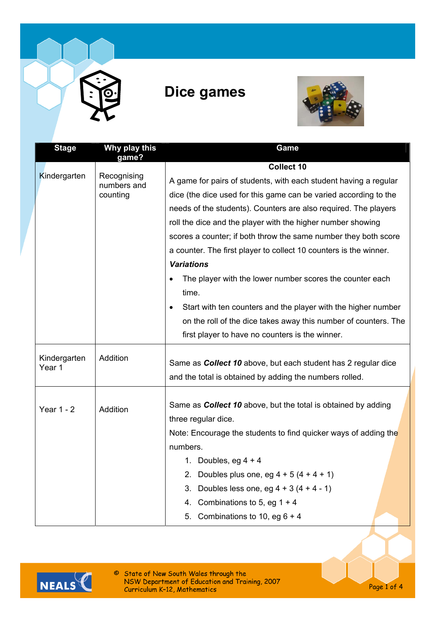

## **Dice games**



| <b>Stage</b>      | Why play this                          | Game                                                                       |  |
|-------------------|----------------------------------------|----------------------------------------------------------------------------|--|
|                   | game?                                  | <b>Collect 10</b>                                                          |  |
| Kindergarten      | Recognising<br>numbers and<br>counting | A game for pairs of students, with each student having a regular           |  |
|                   |                                        | dice (the dice used for this game can be varied according to the           |  |
|                   |                                        | needs of the students). Counters are also required. The players            |  |
|                   |                                        | roll the dice and the player with the higher number showing                |  |
|                   |                                        | scores a counter; if both throw the same number they both score            |  |
|                   |                                        | a counter. The first player to collect 10 counters is the winner.          |  |
|                   |                                        | <b>Variations</b>                                                          |  |
|                   |                                        | The player with the lower number scores the counter each                   |  |
|                   |                                        | time.                                                                      |  |
|                   |                                        | Start with ten counters and the player with the higher number<br>$\bullet$ |  |
|                   |                                        | on the roll of the dice takes away this number of counters. The            |  |
|                   |                                        | first player to have no counters is the winner.                            |  |
| Kindergarten      | Addition                               |                                                                            |  |
| Year 1            |                                        | Same as <b>Collect 10</b> above, but each student has 2 regular dice       |  |
|                   |                                        | and the total is obtained by adding the numbers rolled.                    |  |
|                   | Addition                               | Same as <b>Collect 10</b> above, but the total is obtained by adding       |  |
| <b>Year 1 - 2</b> |                                        | three regular dice.                                                        |  |
|                   |                                        | Note: Encourage the students to find quicker ways of adding the            |  |
|                   |                                        | numbers.                                                                   |  |
|                   |                                        | 1. Doubles, eg $4 + 4$                                                     |  |
|                   |                                        | Doubles plus one, eg $4 + 5(4 + 4 + 1)$                                    |  |
|                   |                                        | Doubles less one, eg $4 + 3(4 + 4 - 1)$<br>3.                              |  |
|                   |                                        | Combinations to 5, eg $1 + 4$<br>4.                                        |  |
|                   |                                        | Combinations to 10, eg $6 + 4$<br>5.                                       |  |



© State of New South Wales through the<br>NSW Department of Education and Training, 2007<br>Curriculum K-12, Mathematics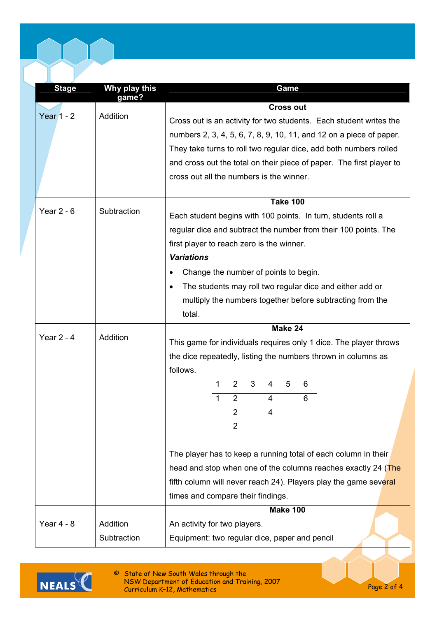| <b>Stage</b> | Why play this<br>game? | Game                                                                  |  |  |
|--------------|------------------------|-----------------------------------------------------------------------|--|--|
|              | <b>Addition</b>        | <b>Cross out</b>                                                      |  |  |
| Year $1 - 2$ |                        | Cross out is an activity for two students. Each student writes the    |  |  |
|              |                        | numbers 2, 3, 4, 5, 6, 7, 8, 9, 10, 11, and 12 on a piece of paper.   |  |  |
|              |                        | They take turns to roll two regular dice, add both numbers rolled     |  |  |
|              |                        | and cross out the total on their piece of paper. The first player to  |  |  |
|              |                        | cross out all the numbers is the winner.                              |  |  |
|              |                        |                                                                       |  |  |
|              |                        | <b>Take 100</b>                                                       |  |  |
| Year $2 - 6$ | Subtraction            | Each student begins with 100 points. In turn, students roll a         |  |  |
|              |                        | regular dice and subtract the number from their 100 points. The       |  |  |
|              |                        | first player to reach zero is the winner.                             |  |  |
|              |                        | <b>Variations</b>                                                     |  |  |
|              |                        | Change the number of points to begin.<br>$\bullet$                    |  |  |
|              |                        | The students may roll two regular dice and either add or<br>$\bullet$ |  |  |
|              |                        | multiply the numbers together before subtracting from the             |  |  |
|              |                        | total.                                                                |  |  |
|              |                        | Make 24                                                               |  |  |
| Year $2 - 4$ | Addition               | This game for individuals requires only 1 dice. The player throws     |  |  |
|              |                        | the dice repeatedly, listing the numbers thrown in columns as         |  |  |
|              |                        | follows.                                                              |  |  |
|              |                        | 1<br>2<br>3<br>4<br>5<br>6                                            |  |  |
|              |                        | $\overline{2}$<br>6<br>4<br>1                                         |  |  |
|              |                        | 2<br>4                                                                |  |  |
|              |                        | 2                                                                     |  |  |
|              |                        |                                                                       |  |  |
|              |                        | The player has to keep a running total of each column in their        |  |  |
|              |                        | head and stop when one of the columns reaches exactly 24 (The         |  |  |
|              |                        | fifth column will never reach 24). Players play the game several      |  |  |
|              |                        | times and compare their findings.                                     |  |  |
|              |                        | <b>Make 100</b>                                                       |  |  |
| Year $4 - 8$ | Addition               | An activity for two players.                                          |  |  |
|              |                        |                                                                       |  |  |
|              | Subtraction            | Equipment: two regular dice, paper and pencil                         |  |  |



© State of New South Wales through the<br>NSW Department of Education and Training, 2007<br>Curriculum K-12, Mathematics

Page 2 of 4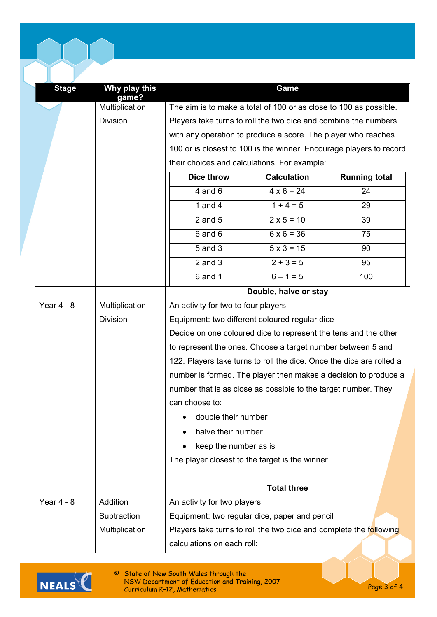| <b>Stage</b> | Why play this           |                                                                                                                                                                                                           | Game                                           |                                                                     |  |
|--------------|-------------------------|-----------------------------------------------------------------------------------------------------------------------------------------------------------------------------------------------------------|------------------------------------------------|---------------------------------------------------------------------|--|
|              | game?<br>Multiplication | The aim is to make a total of 100 or as close to 100 as possible.                                                                                                                                         |                                                |                                                                     |  |
|              | <b>Division</b>         | Players take turns to roll the two dice and combine the numbers                                                                                                                                           |                                                |                                                                     |  |
|              |                         | with any operation to produce a score. The player who reaches                                                                                                                                             |                                                |                                                                     |  |
|              |                         |                                                                                                                                                                                                           |                                                | 100 or is closest to 100 is the winner. Encourage players to record |  |
|              |                         | their choices and calculations. For example:                                                                                                                                                              |                                                |                                                                     |  |
|              |                         | <b>Dice throw</b>                                                                                                                                                                                         | <b>Calculation</b>                             | <b>Running total</b>                                                |  |
|              |                         | $4$ and $6$                                                                                                                                                                                               | $4 \times 6 = 24$                              | 24                                                                  |  |
|              |                         | 1 and $4$                                                                                                                                                                                                 | $1 + 4 = 5$                                    | 29                                                                  |  |
|              |                         | $2$ and $5$                                                                                                                                                                                               | $2 \times 5 = 10$                              | 39                                                                  |  |
|              |                         | $6$ and $6$                                                                                                                                                                                               | $6 \times 6 = 36$                              | 75                                                                  |  |
|              |                         | 5 and 3                                                                                                                                                                                                   | $5 \times 3 = 15$                              | 90                                                                  |  |
|              |                         | $2$ and $3$                                                                                                                                                                                               | $2 + 3 = 5$                                    | 95                                                                  |  |
|              |                         | 6 and 1                                                                                                                                                                                                   | $6 - 1 = 5$                                    | 100                                                                 |  |
|              |                         |                                                                                                                                                                                                           | Double, halve or stay                          |                                                                     |  |
| Year $4 - 8$ | Multiplication          | An activity for two to four players                                                                                                                                                                       |                                                |                                                                     |  |
|              | <b>Division</b>         |                                                                                                                                                                                                           | Equipment: two different coloured regular dice |                                                                     |  |
|              |                         | Decide on one coloured dice to represent the tens and the other                                                                                                                                           |                                                |                                                                     |  |
|              |                         | to represent the ones. Choose a target number between 5 and                                                                                                                                               |                                                |                                                                     |  |
|              |                         | 122. Players take turns to roll the dice. Once the dice are rolled a<br>number is formed. The player then makes a decision to produce a<br>number that is as close as possible to the target number. They |                                                |                                                                     |  |
|              |                         |                                                                                                                                                                                                           |                                                |                                                                     |  |
|              |                         |                                                                                                                                                                                                           |                                                |                                                                     |  |
|              |                         | can choose to:                                                                                                                                                                                            |                                                |                                                                     |  |
|              |                         | double their number                                                                                                                                                                                       |                                                |                                                                     |  |
|              |                         | halve their number                                                                                                                                                                                        |                                                |                                                                     |  |
|              |                         | keep the number as is                                                                                                                                                                                     |                                                |                                                                     |  |
|              |                         | The player closest to the target is the winner.                                                                                                                                                           |                                                |                                                                     |  |
|              |                         |                                                                                                                                                                                                           |                                                |                                                                     |  |
| Year $4 - 8$ | Addition                | An activity for two players.                                                                                                                                                                              |                                                |                                                                     |  |
|              | Subtraction             | Equipment: two regular dice, paper and pencil                                                                                                                                                             |                                                |                                                                     |  |
|              | Multiplication          | Players take turns to roll the two dice and complete the following                                                                                                                                        |                                                |                                                                     |  |
|              |                         | calculations on each roll:                                                                                                                                                                                |                                                |                                                                     |  |



© State of New South Wales through the<br>NSW Department of Education and Training, 2007<br>Curriculum K-12, Mathematics

Page 3 of 4